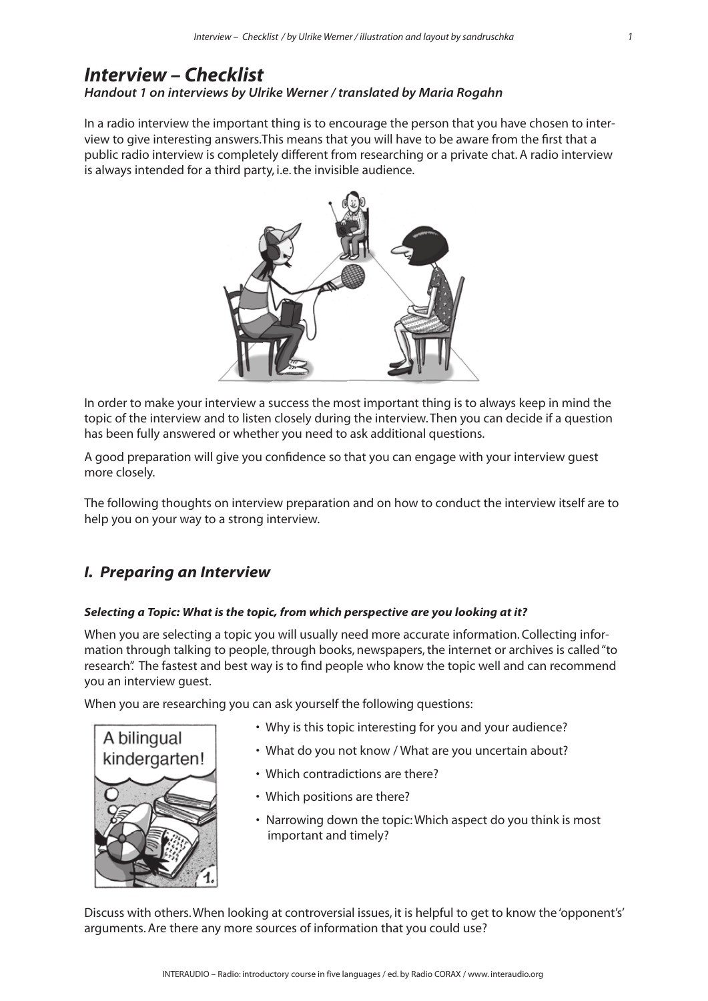# *Interview – Checklist Handout 1 on interviews by Ulrike Werner / translated by Maria Rogahn*

In a radio interview the important thing is to encourage the person that you have chosen to interview to give interesting answers. This means that you will have to be aware from the first that a public radio interview is completely different from researching or a private chat. A radio interview is always intended for a third party, i.e. the invisible audience.



In order to make your interview a success the most important thing is to always keep in mind the topic of the interview and to listen closely during the interview. Then you can decide if a question has been fully answered or whether you need to ask additional questions.

A good preparation will give you confidence so that you can engage with your interview guest more closely.

The following thoughts on interview preparation and on how to conduct the interview itself are to help you on your way to a strong interview.

# *I. Preparing an Interview*

## *Selecting a Topic: What is the topic, from which perspective are you looking at it?*

When you are selecting a topic you will usually need more accurate information. Collecting information through talking to people, through books, newspapers, the internet or archives is called "to research". The fastest and best way is to find people who know the topic well and can recommend you an interview guest.

When you are researching you can ask yourself the following questions:



- Why is this topic interesting for you and your audience?
- What do you not know / What are you uncertain about?
- Which contradictions are there?
- Which positions are there?
- Narrowing down the topic: Which aspect do you think is most important and timely?

Discuss with others. When looking at controversial issues, it is helpful to get to know the 'opponent's' arguments. Are there any more sources of information that you could use?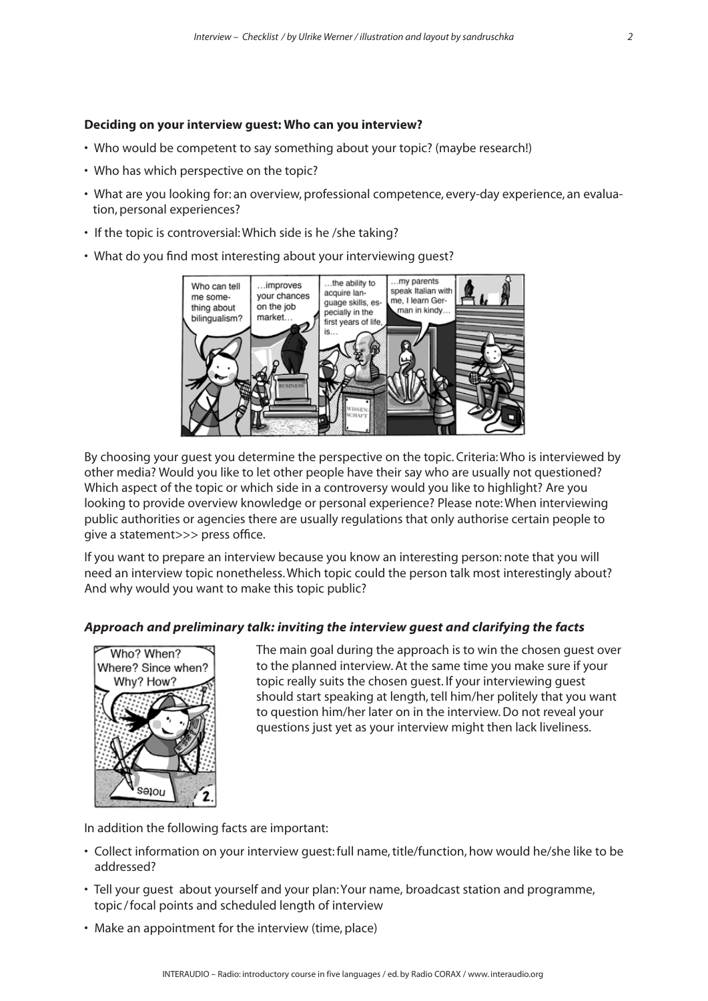## **Deciding on your interview guest: Who can you interview?**

- Who would be competent to say something about your topic? (maybe research!)
- Who has which perspective on the topic?
- What are you looking for: an overview, professional competence, every-day experience, an evalua tion, personal experiences?
- If the topic is controversial: Which side is he /she taking?
- What do you find most interesting about your interviewing guest?



By choosing your guest you determine the perspective on the topic. Criteria: Who is interviewed by other media? Would you like to let other people have their say who are usually not questioned? Which aspect of the topic or which side in a controversy would you like to highlight? Are you looking to provide overview knowledge or personal experience? Please note: When interviewing public authorities or agencies there are usually regulations that only authorise certain people to give a statement>>> press office.

If you want to prepare an interview because you know an interesting person: note that you will need an interview topic nonetheless. Which topic could the person talk most interestingly about? And why would you want to make this topic public?

## *Approach and preliminary talk: inviting the interview guest and clarifying the facts*



The main goal during the approach is to win the chosen guest over to the planned interview. At the same time you make sure if your topic really suits the chosen guest. If your interviewing guest should start speaking at length, tell him/her politely that you want to question him/her later on in the interview. Do not reveal your questions just yet as your interview might then lack liveliness.

In addition the following facts are important:

- Collect information on your interview guest: full name, title/function, how would he/she like to be addressed?
- Tell your guest about yourself and your plan: Your name, broadcast station and programme, topic /focal points and scheduled length of interview
- Make an appointment for the interview (time, place)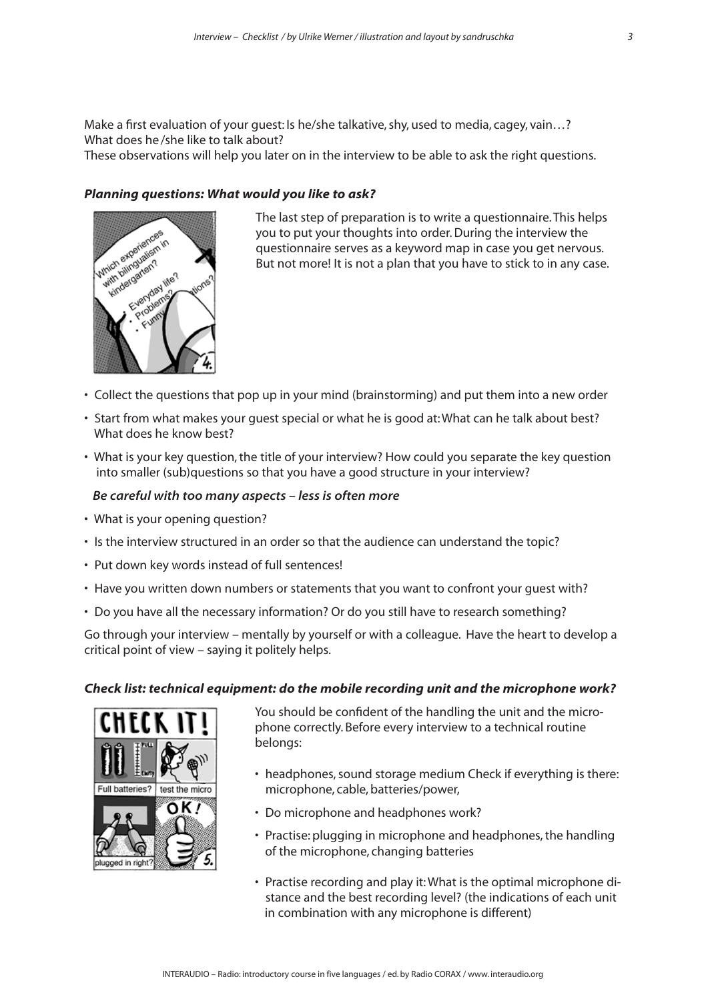Make a first evaluation of your guest: Is he/she talkative, shy, used to media, cagey, vain…? What does he/she like to talk about?

These observations will help you later on in the interview to be able to ask the right questions.

## *Planning questions: What would you like to ask?*



The last step of preparation is to write a questionnaire. This helps you to put your thoughts into order. During the interview the questionnaire serves as a keyword map in case you get nervous. But not more! It is not a plan that you have to stick to in any case.

- Collect the questions that pop up in your mind (brainstorming) and put them into a new order
- Start from what makes your guest special or what he is good at: What can he talk about best? What does he know best?
- What is your key question, the title of your interview? How could you separate the key question into smaller (sub)questions so that you have a good structure in your interview?

#### *Be careful with too many aspects – less is often more*

- What is your opening question?
- Is the interview structured in an order so that the audience can understand the topic?
- Put down key words instead of full sentences!
- Have you written down numbers or statements that you want to confront your guest with?
- Do you have all the necessary information? Or do you still have to research something?

Go through your interview – mentally by yourself or with a colleague. Have the heart to develop a critical point of view – saying it politely helps.

## *Check list: technical equipment: do the mobile recording unit and the microphone work?*



You should be confident of the handling the unit and the microphone correctly. Before every interview to a technical routine belongs:

- headphones, sound storage medium Check if everything is there: microphone, cable, batteries/power,
- Do microphone and headphones work?
- Practise: plugging in microphone and headphones, the handling of the microphone, changing batteries
- Practise recording and play it: What is the optimal microphone di stance and the best recording level? (the indications of each unit in combination with any microphone is different)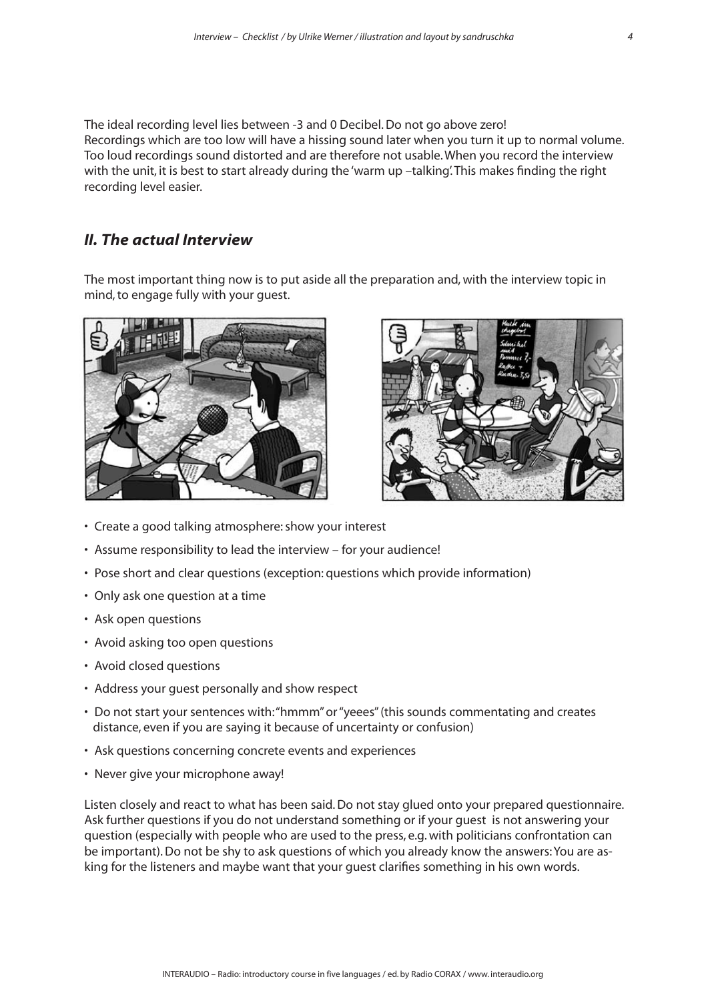The ideal recording level lies between -3 and 0 Decibel. Do not go above zero! Recordings which are too low will have a hissing sound later when you turn it up to normal volume. Too loud recordings sound distorted and are therefore not usable. When you record the interview with the unit, it is best to start already during the 'warm up -talking'. This makes finding the right recording level easier.

# *II. The actual Interview*

The most important thing now is to put aside all the preparation and, with the interview topic in mind, to engage fully with your guest.





- Create a good talking atmosphere: show your interest
- Assume responsibility to lead the interview for your audience!
- Pose short and clear questions (exception: questions which provide information)
- Only ask one question at a time
- Ask open questions
- Avoid asking too open questions
- Avoid closed questions
- Address your guest personally and show respect
- Do not start your sentences with: "hmmm" or "yeees" (this sounds commentating and creates distance, even if you are saying it because of uncertainty or confusion)
- Ask questions concerning concrete events and experiences
- Never give your microphone away!

Listen closely and react to what has been said. Do not stay glued onto your prepared questionnaire. Ask further questions if you do not understand something or if your guest is not answering your question (especially with people who are used to the press, e.g. with politicians confrontation can be important). Do not be shy to ask questions of which you already know the answers: You are asking for the listeners and maybe want that your guest clarifies something in his own words.